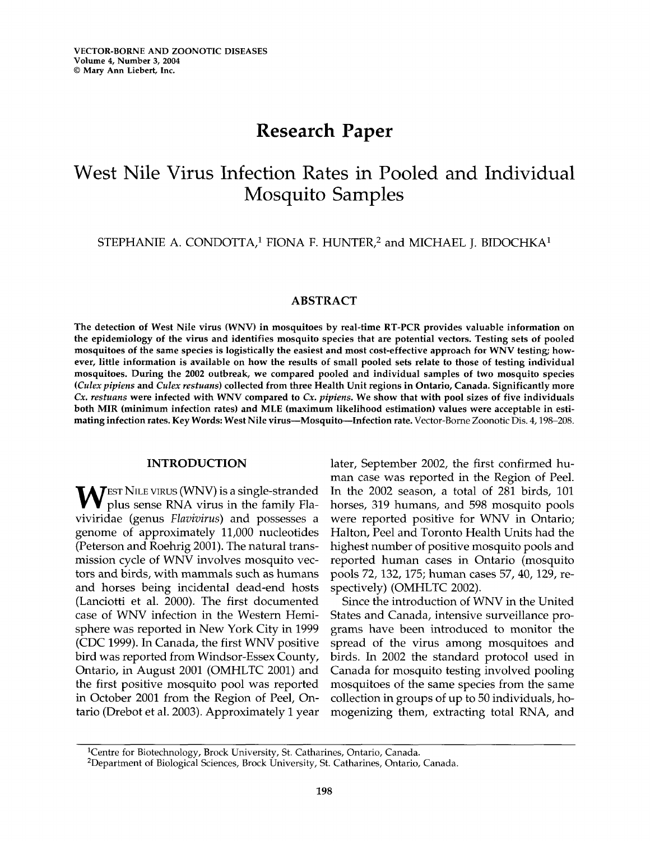# Research Paper

# $W$  (NII V:  $T \subset U$  in Pooled in Poole  $\mathcal{L}$  Contracted in T<sub>0</sub>  $\overline{1}$  Individual Indian Indian Indian Indian Indian Indian Indian Indian Indian Indian Indian Indian Indian Indian Indian Indian Indian Indian Indian Indian Indian Indian Indian Indian Indian Indian Indian Indian India

STEPHANIE A. CONDOTTA,<sup>1</sup> FIONA F. HUNTER,<sup>2</sup> and MICHAEL J. BIDOCHKA<sup>1</sup>

# ABSTRACT

The detection of West Nile virus (WNV) in mosquitoes by real-time RT-PCR provides valuable information on the epidemiology of the virus and identifies mosquitos by real-time K1-1 CK provides valuable information on<br>the epidemiology of the virus and identifies mosquito species that are potential vectors. Testing sets of pooled<br> mosquitoes of the same species is logistically the easiest and most cost-effective approach for WNV testing; how-<br>ever, little information is available on how the results of small pooled sets relate to those of testing ind mosquitoes. During the <sup>2002</sup> outbreak, we compared pooled and individual samples of two mosquito species (Culex pipiens and Culex restuans) collected from three Health Unit regions in Ontario, Canada. Significantly more Cx. restuans were infected with WNV compared to Cx. pipiens. We show that with pool sizes of five individuals Cx. restuans were infected with WNV compared to Cx. pipiens. We show that with pool sizes of five individuals both MIR (minimum infection rates) and MLE (maximum likelihood estimation) values were acceptable in estimating infection rates. Key Words: West Nile virus-Mosquito-Infection rate. Vector-Borne Zoonotic Dis. 4, 198-208.

## INTRODUCTION

EST NILE VIRUS (WNV) is <sup>a</sup> single-stranded EST NILE VIRUS (WNV) is a single-stranded<br>plus sonse PNA virus in the family Fla- $V$  plus sense RNA virus in the family Flaviviridae (genus Flavivirus) and possesses a genome of approximately 11,000 nucleotides (Peterson and Roehrig 2001). The natural trans-(Peterson and Roehrig 2001). The natural transmission cycle of WNV involves mosquito vectors and birds, with mammals such as humans  $\frac{1}{1}$  and  $\frac{1}{1}$  include the incidental dead-end hosts before the incident deadand horses being incidental dead-end hosts (Lanciotti et al. 2000). The first documented case of WNV infection in the Western Hemicase or winy infection in the western Hemi-<br>sphere was reported in New York City in 1999 sphere was reported in New York City in 1999<br>(CDC 1999). In Canada, the first WNV positive bird was reported from Windsor-Essex County, oird was reported from windsor-essex County,<br>Q + 1 = 1 + 2001 (QMH TC 2001) and the first positive mosquito pool was reported  $\therefore$  O  $\leq 1$   $\therefore$  0001 from the Region of Peel, Onin October 2001 from the Region of Peel, Ontario (Drebot et al. 2003). Approximately 1 year

later, September 2002, the first confirmed human case was reported in the Region of Peel. In the 2002 season, a total of 281 birds, 101  $\frac{1}{100}$  humans,  $\frac{2002}{100}$  scason, a total of 201 bitus,  $\frac{1}{100}$ horses, 319 humans, and 598 mosquito pools<br>were reported positive for WNV in Ontario; were reported positive for  $v_1v_1v_1$  in Omatio, highest number of positive mosquito pools and highest number of positive mosquito pools and<br>reported human cases in Ontario (mosquito pools 72, 132, 175; human cases 57, 40, 129, repoois 72, 132, 175; numan cas

spectively) (OMHLTC 2002).<br>Since the introduction of WNV in the United States and Canada, intensive surveillance programs have been introduced to monitor the spread of the virus among mosquitoes and  $\frac{1}{2}$  in  $\frac{1}{2}$  0.000 the standard protocol used in  $\frac{1}{2}$  in  $\frac{1}{2}$  in  $\frac{1}{2}$  in  $\frac{1}{2}$  in  $\frac{1}{2}$  in  $\frac{1}{2}$  in  $\frac{1}{2}$  in  $\frac{1}{2}$  in  $\frac{1}{2}$  in  $\frac{1}{2}$  in  $\frac{1}{2}$  in  $\frac{1}{2}$  in  $\frac{1}{$ birds. In 2002 the standard protocol used in Canada for mosquito testing involved pooling mosquitoes of the same species from the same collection in groups of up to 50 individuals, hoconection in groups or up to bo murviquals, no-

 $1c$ entre for Biotechnology, Brock University, St. Catharines, Ontario, Canada. <sup>2</sup> Centre for Biolechnology, Brock University, St. Catharines, Ontario, Canada.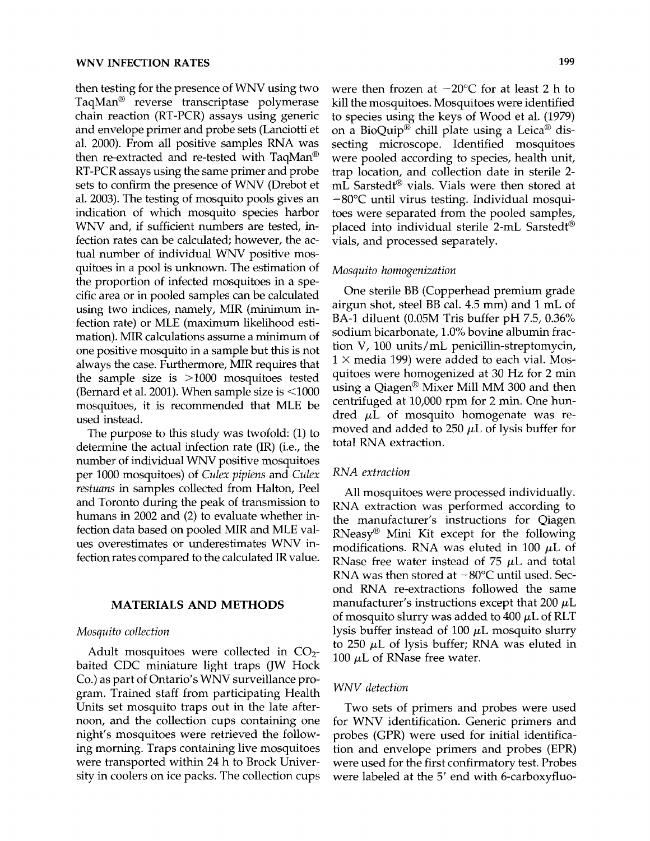then testing for the presence of WNV using two TaqMan<sup>®</sup> reverse transcriptase polymerase chain reaction (RT-PCR) assays using generic  $\frac{1}{1}$  and the problem primer and primer sets (Lanciotti et al.  $\frac{1}{1}$  et al.  $\frac{1}{1}$  et al.  $\frac{1}{1}$  et al.  $\frac{1}{1}$ and envelope primer and probe sets (Lanciotti et al. 2000). From all positive samples RNA was then re-extracted and re-tested with TaqMan<sup>®</sup> RT-PCR assays using the same primer and probe RT-PCR assays using the same primer and probe<br>sets to confirm the presence of WNV (Drebot et al. 2003). The testing of mosquito pools gives an ai.  $2000$ . The testing of mosquito pools gives an indication of which mosquito species harbor<br>WNV and, if sufficient numbers are tested, infection rates can be calculated; however, the actection rates can be calculated; however, the ac-<br>tual number of individual WNN positive mostual number of individual WNV positive mos-<br>quitoes in a pool is unknown. The estimation of the proportion of infected mosquitoes in a specific area or in pooled samples can be calculated cinc area or in pooled samples can be calculated<br>using two indices, namely, MIR (minimum inusing two indices, namely, MIR (minimum in-<br>fection rate) or MLE (maximum likelihood estimation). MIR calculations assume <sup>a</sup> minimum of one positive mosquito in <sup>a</sup> sample but this is not one positive mosquito in a sample but this is not<br>always the case. Furthermore, MIR requires that always the case. Furthermore, MIR requires that the sample size is  $>1000$  mosquitoes tested (Bernard et al. 2001). When sample size is  $\leq$ 1000 mosquitoes, it is recommended that MLE be used instead.

The purpose to this study was twofold: (1) to Fine purpose to this stidely was tworded. (1) to<br>determine the actual infection rate (IR) (i.e., the per <sup>1000</sup> mosquitoes) of Culex pipiens and Culex per root mosquittes or each pipers and each restuans in samples collected from Halton, Peel and Toronto during the peak of transmission to humans in 2002 and  $(2)$  to evaluate whether infection data based on pooled MIR and MLE values overestimates or underestimates WNV in-<br>fection rates compared to the calculated IR value.

# MATERIALS AND METHODS

## Mosquito collection

Adult mosquitoes were collected in CO2  $b_{2}$  - Adult mosquitoes were collected in  $CO_{2}$ baited CDC miniature light traps (JW Hock Co.) as part of Ontario's WNV surveillance program. Trained staff from participating Health giani. Tranca sian non paracipaing ricani Units set mosquito traps out in the late after-<br>noon, and the collection cups containing one might's mosquitoes were retrieved the following morning. Traps containing live mosquitoes<br>were transported within 24 h to Brock University in coolers on ice packs. The collection cups were then frozen at  $-20^{\circ}$ C for at least 2 h to were their frozen at  $\sim$  20 C for at least 2 ft to kill the mosquitoes. Mosquitoes were identified<br>the species using the keys of Wood et al. (1979) to species using the keys of Wood et al. (1979) on a BioQuip<sup>®</sup> chill plate using a Leica<sup>®</sup> dissecting microscope. Identified mosquitoes were pooled according to species, health unit, were pooled according to species, health that, trap location, and collection date in sterile 2mL Sarstedt<sup>®</sup> vials. Vials were then stored at  $-80^{\circ}$ C until virus testing. Individual mosquitoes were separated from the pooled samples,  $p_{\text{max}}$  is the individual step individual step in  $\frac{p_{\text{max}}}{p_{\text{max}}}$ placed into individual sterile 2-mL Sarstedt<sup>®</sup> vials, and processed separately.

## Mosquito homogenization

 $\overline{O_{\text{max}}(t)}$  it BB ( $\overline{O_{\text{max}}(t)}$  are minimum grade One sterile BB (Copperhead premium grade airgun shot, steel BB cal.  $4.5$  mm) and  $1 \text{ mL of}$ BA-1 diluent (0.05M Tris buffer pH 7.5, 0.36% sodium bicarbonate, 1.0% bovine albumin fraction V, 100 units/mL penicillin-streptomycin,  $1 \times$  media 199) were added to each vial. Mos- $\mu$   $\lambda$  meals 199) were added to each vial. Mos-<br>quitoes were homogenized at 30 Hz for 2 min quitoes were homogenized at 30 Hz for 2 min<br>using a Qiagon® Mixer Mill MM 300 and then using a Qiagen Wilxer Min Mivi 500 and then<br>centrifuged at 10,000 rpm for 2 min. One hun-<br>dred UL of mosquito homogenate was redred  $\mu$ L of mosquito homogenate was removed and added to 250  $\mu$ L of lysis buffer for total RNA extraction.

## RNA extraction

All mosquitoes were processed individually. All mosquitoes were processed individually.<br>RNA extraction was performed according to tuvet extraction was performed according to<br>the manufacturer's instructions for Oiagen me manufacturer's instructions for Qiagen  $RNeasy^{\circledR}$  Mini Kit except for the following modifications. RNA was eluted in 100  $\mu$ L of RNase free water instead of 75  $\mu$ L and total RNA was then stored at  $-80^{\circ}$ C until used. Second RNA re-extractions followed the same manufacturer's instructions except that 200  $\mu$ L manuiacturer s'instructions except that 200 µL<br>of mosquito slurry was added to 400 µL of RLT of mosquito slurry was added to 400  $\mu$ E of KET Iysis buffer instead of 100 µL mosquito slurry<br>to 250 µL of lysis buffer: RNA was eluted in  $100$  250  $\mu$ L of Tysis butter, K

#### WNV detection

Two sets of primers and probes were used Two sets of primers and probes were used<br>for WNV identification. Generic primers and probes (GPR) were used for initial identificaproves (GTR) were used for mitial identified tion and envelope primers and probes (EPR)<br>were used for the first confirmatory test. Probes were labeled at the 5' end with 6-carboxyfluo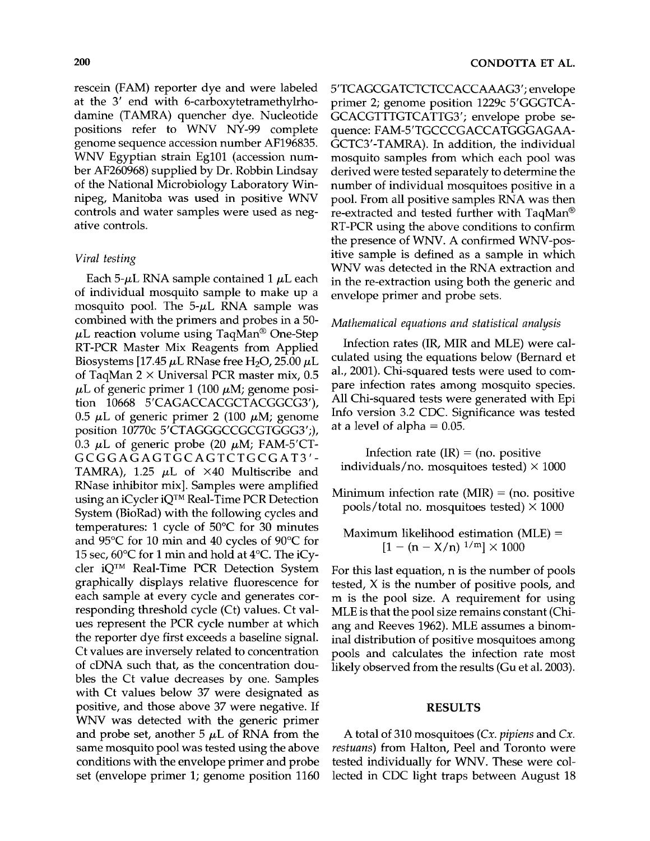rescein (FAM) reporter dye and were labeled at the 3' end with 6-carboxytetramethylrhode die 5 end with 6-carboxytetramethymodamine (TAMRA) quencher dye. Nucleotide<br>positions refer to WNV NY-99 complete genome sequence accession number AF196835. genome sequence accession number AF196835.<br>WNW Egyptian strain Eg101 (accession num-WNV Egyptian strain Eg101 (accession number AF260968) supplied by Dr. Robbin Lindsay of the 200900 supplied by Dr. Robbin Emidsay of the National Microbiology Laboratory Win-<br>nipeg, Manitoba was used in positive WNV nipeg, Manitoba was used in positive WNV controls and water samples were used as negative controls.

## Viral testing

Each 5- $\mu$ L RNA sample contained 1  $\mu$ L each of individual mosquito sample to make up <sup>a</sup> of individual mosquito sample to make up a<br>mosquito pool. The 5-uL RNA sample was  $\mu$  combined with the primers and probes in a 50combined with the primers and probes in a  $30 \mu$ L reaction volume using TaqMan<sup>®</sup> One-Step RT-PCR Master Mix Reagents from Applied Biosystems [17.45  $\mu$ L RNase free H<sub>2</sub>O, 25.00  $\mu$ L of TaqMan 2 × Universal PCR master mix, 0.5  $\mu$ L of generic primer 1 (100  $\mu$ M; genome posi- $\mu$ L or generic primer 1 (100  $\mu$ M; genome position 10668 5'CAGACCACGCTACGGCG3'),<br>0.5 uJ of generic primer 2 (100  $\mu$ M; genome 0.5  $\mu$ L of generic primer 2 (100  $\mu$ M; genome position 10770c 5'CTAGGGCCGCGTGGG3';), position 10770C 5 CTAGGGCCGCGTGGG5 , j,<br>0.3 *uL* of generic probe (20 *uM*; FAM-5'CT-0.3 µL of generic probe (20 µM; FAM-5′C<br>GCGGAGAGTGCAGTCTGCGAT3  $GCGGAGAGTGCAGTCTGCGAT3'-TAMRA)$ , 1.25  $\mu$ L of  $\times$ 40 Multiscribe and  $RN_{250}$  inhibitor mix $\frac{120}{100}$  Samples were amplified using an iCycler iQTM Real-Time PCR Detection using an iCycler  $iQ^{TM}$  Real-Time PCR Detection System (BioRad) with the following cycles and temperatures: 1 cycle of 50 $\degree$ C for 30 minutes and  $95^{\circ}$ C for 10 min and 40 cycles of  $90^{\circ}$ C for 15 sec,  $60^{\circ}$ C for 1 min and hold at 4 $^{\circ}$ C. The iCycler  $iQ^{TM}$  Real-Time PCR Detection System graphically displays relative fluorescence for graphically cusplays relative hubrescence for response the condition of the condition of the condition of the condition of the condition of the condition of the condition of the condition of the condition of the condition of the condition of the condition of the condi responding threshold cycle (Ct) values. Ct values represent the PCR cycle number at which the reporter dye first exceeds <sup>a</sup> baseline signal. ne reporter aye mst execcus a baseme signal. of cDNA such that, as the concentration douof cDNA such that, as the concentration doubles the Ct value decreases by one. Samples with Ct values below 37 were designated as with Ct values below by were designated as<br>positive, and those above 37 were negative. If positive, and those above 37 were negative. If<br>WNW was detected with the generic primer WNV was detected with the generic primer and probe set, another 5  $\mu$ L of RNA from the and probe set, another  $\sigma$   $\mu$ <sup>2</sup> or KIVA from the same mosquito poor was tested using the above conditions with the envelope primer and probe set (envelope primer 1; genome position 1160

5'TCAGCGATCTCTCCACCAAAG3'; envelope primer 2; genome position 1229c 5'GGGTCA-GCACGTTTGTCATTG3'; envelope probe sequence: FAM-5'TGCCCGACCATGGGAGAA-GCTC3'-TAMRA). In addition, the individual mosquito samples from which each pool was derived were tested separately to determine the number of individual mosquitoes positive in <sup>a</sup> number of individual mosquitoes positive in a<br>pool. From all positive samples RNA was then pool. From all positive samples RNA was then re-extracted and tested further with  $TaqMan^{\circledast}$ RT-PCR using the above conditions to confirm<br>the presence of WNV. A confirmed WNV-positive sample is defined as a sample in which itive sample is defined as a sample in which<br>WNW was detected in the RNA extraction and WNV was detected in the RNA extraction and in the re-extraction using both the generic and<br>envelope primer and probe sets.

# Mathematical equations and statistical analysis

Infection rates (IR, MIR and MLE) were cal- $\frac{1}{2}$  meetion rates  $\frac{1}{2}$  (Bernard et al. 1 and  $\frac{1}{2}$   $\frac{1}{2}$   $\frac{1}{2}$ culated using the equations below (Bernard et al., 2001). Chi-squared tests were used to compare infection rates among mosquito species. All Chi-squared tests were generated with Epi Info version 3.2 CDC. Significance was tested at a level of alpha  $= 0.05$ .

Infection rate  $(IR) = (no. positive)$ individuals/no. mosquitoes tested)  $\times$  1000

Minimum infection rate  $(MIR) = (no. positive$ pools/total no. mosquitoes tested)  $\times$  1000

Maximum likelihood estimation (MLE)  $\frac{1}{100}$  (n X/  $\frac{1}{m}$  ) 1000

For this last equation, n is the number of pools tested, X is the number of positive pools, and tested, X is the number of positive pools, and<br>m is the pool size. A requirement for using m is the pool size. A requirement for using<br>MLE is that the pool size near incorporated (Chi-MLE is that the pool size remains constant (Chi-<br>ang and Reeves 1962). MLE assumes a binominal distribution of positive mosquitoes among mal distribution of positive mosquitoes among pools and calculates the infection rate most likely observed from the results (Gu et al. 2003).

# RESULTS

A total of <sup>310</sup> mosquitoes (Cx. pipiens and Cx. restuans) from Halton, Peel and Toronto were restuans) from rianton, reef and Toronto were<br>tested individually for WNW. These were colrested individually for WNV. These were col-<br>lected in CDC light trans between August 18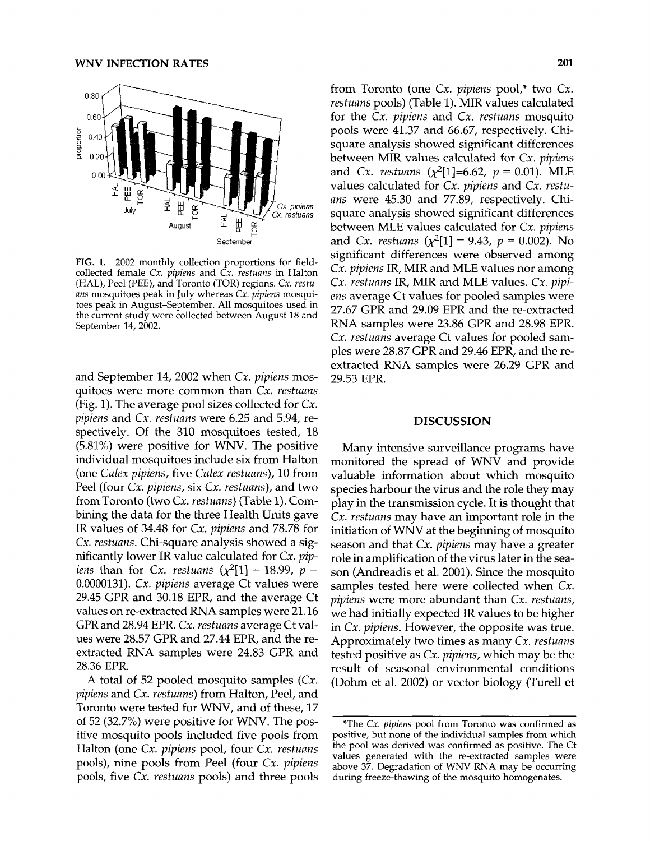

ris. r. 2002 monthly conection proportions for heacollected female  $Cx$ , pipiens and  $Cx$ . restuans in Halton (HAL), Peel (PEE), and Toronto (TOR) regions. Cx. restuans mosquitoes peak in July whereas Cx. pipiens mosquitoes peak in August-September. All mosquitoes used in the current study were collected between August 18 and<br>the current study were collected between August 18 and

and September 14, <sup>2002</sup> when Cx. pipiens mosquitoes were more common than Cx. restuans (Fig. 1). The average pool sizes collected for Cx.  $p_1$  p. 1. The average pool sizes conected for  $C_x$ ,  $p_1$  integrated and  $S_x$ . pipens and Cx. restaans were 0.25 and 5.74, respectively. Of the 310 mosquitoes tested, 18  $(5.81%)$  were positive for WNV. The positive individual mosquitoes include six from Halton<br>(one Culex pipiens, five Culex restuans), 10 from Peel (four Cx. pipiens, six Cx. restuans), and two  $f$  eei (tour Cx. *pipiens*, six Cx. *restuuns*), and two bining the data for the three Health Units gave  $\frac{1}{18}$  in the 34.48 for Call 1.78.78 for Call 1.78.78 for Call 1.78.78 for Call 1.78.78 for Call 1.78.78 for Call 1.78.78 for Call 1.78.78 for Call 1.78.78.78 for Call 1.78.78.78 for Call 1.78.78.78.78.78.78.78.78.78. IR values of 34.48 for  $Cx$ . *pipiens* and 78.78 for  $Cx$ . *restuans*. Chi-square analysis showed a significantly lower IR value calculated for  $Cx.$   $pip$ iens than for Cx. restuans  $(\chi^2[1] = 18.99, p =$  $\mu_{10}$  and the Cx. restaus  $\mu_{11}$  = 10.22,  $\rho$  =  $0.0000131$ . Cx. *pipiens* average Ct values were<br>29.45 CPP and 30.18 EPP, and the average Ct 29.45 GPR and 30.18 EPR, and the average Ct values on re-extracted RNA samples were 21.16 values on re-extracted KINA samples were 21.16<br>CPR and 28.94 EPR. Cx. restuans average Ct val-GPR and 28.94 EPR. C*x. restuans* average Ct val-<br>ues were 28.57 CPR and 27.44 EPR, and the reues were  $28.57$  GPR and  $27.44$  EPR, and the reextracted RNA samples were 24.83 GPR and 28.36 EPR.  $\lambda$  total of 52 pooled mosquito samples (Cx.

 $P$  restuance  $P$  point and  $P$  resturbed mosquito samples  $(x, y)$ *pipiens* and *Cx. restuans*) from Halton, Peel, and<br>Toronto were tested for WNV, and of these, 17 of <sup>52</sup> (32.7%) were positive for WNV. The pos- $\frac{1}{2}$   $\frac{1}{2}$   $\frac{1}{2}$   $\frac{1}{2}$   $\frac{1}{2}$   $\frac{1}{2}$   $\frac{1}{2}$   $\frac{1}{2}$   $\frac{1}{2}$   $\frac{1}{2}$   $\frac{1}{2}$   $\frac{1}{2}$   $\frac{1}{2}$   $\frac{1}{2}$   $\frac{1}{2}$   $\frac{1}{2}$   $\frac{1}{2}$   $\frac{1}{2}$   $\frac{1}{2}$   $\frac{1}{2}$   $\frac{1}{2}$   $\frac{1}{2}$  itive mosquito pools included five pools from Halton (one  $Cx$ , pipiens pool, four  $Cx$ , restuans pools), nine pools from Peel (four Cx. *pipiens* pools, five Cx. *restuans* pools) and three pools

from Toronto (one Cx. pipiens pool,\* two Cx.  $r_{\text{r}}$  restuance and  $r_{\text{r}}$ . Table 1). MIR values calculated *restuans* pools) (Table 1). MIR values calculated for the  $Cx$ *. pipiens* and  $Cx$ *. restuans* mosquito pools were 41.37 and 66.67, respectively. Chipous were 41.97 and 00.07, respectively. Chibetween MIR values calculated for *Cy. pipines* between MIR values calculated for  $Cx$ . pipiens and *Cx. restuans* ( $\chi^2$ [1]=6.62,  $p = 0.01$ ). MLE values calculated for *Cx. pipiens* and *Cx. restu*ans were 45.30 and 77.89, respectively. Chians were 45.50 and 77.09, respectively. Chibetween MLE values calculated for Cy. pipines.<br>between MLE values calculated for Cy. pipines between MLE values calculated for *Cx. pipiens* and *Cx. restuans* ( $\chi^2[1] = 9.43$ ,  $p = 0.002$ ). No significant differences were observed among significant differences were observed among<br>Cx. pipiens IR, MIR and MLE values nor among C*x. pipiens* IR, MIR and MLE values nor among<br>Cy. notwore IB, MIB and MLE reduce. *Cy. pipi* $ex.$  restaurs in, will alle will values.  $ex.$  pipeens average Ct values for pooled samples were<br>27.67.6PP and 29.09 EPP and the research of al 27.67 GPR and 29.09 EPR and the re-extracted RNA samples were 23.86 GPR and 28.98 EPR. Cx. restuans average Ct values for pooled sam-Cx. *restuans* average Ct values for pooled sam-<br>ples were 28.87 CPR and 29.46 EPR, and the reples were 28.87 GPK and 29.46 EPK, and the re-<br>extracted RNA samples were 26.29 GPR and extracted RNA samples were 26.29 GPR and 29.53 EPR.

## DISCUSSION

Many intensive surveillance programs have Many intensive surveillance programs have<br>manitored the spread of WNV and provide monitored the spread of WNV and provide<br>valuable information about which mosquito valuable modification about which mosquito<br>species harbour the virus and the role they may  $p_{\text{c}}$  is the transmission control that the transmission control that the transmission control that the transmission of the transmission control to the transmission of the transmission of the transmission control to th play in the transmussion cycle. It is thought that<br>Cy restuans may have an important role in the Cx. restuans may have an important role in the<br>initiation of WNV at the beginning of mosquito initiation of WNV at the beginning of mosquito season and that  $Cx$ , *pipiens* may have a greater role in amplification of the virus later in the season (Andreadis et al. 2001). Since the mosquito samples tested here were collected when Cx. pipiens were more abundant than Cx. restuans, we had initially expected IR values to be higher in Cx. pipiens. However, the opposite was true. Approximately two times as many Cx. restuans Approximately two times as many Cx. restaans<br>tosted positive as Cx. niniens, which may be the reside positive as explored, which may be the result of seasonal environmental conditions<br>(Dohm et al. 2002) or vector biology (Turell et

<sup>\*</sup>The Cx. pipiens pool from Toronto was confirmed as positive, but none of the individual samples from which the pool was derived was confirmed as positive. The Ct values generated with the re-extracted samples were above 37. Degradation of WNV RNA may be occurring above 37. Degradation of WNV RNA may be occurring during freeze-thawing of the mosquito homogenates.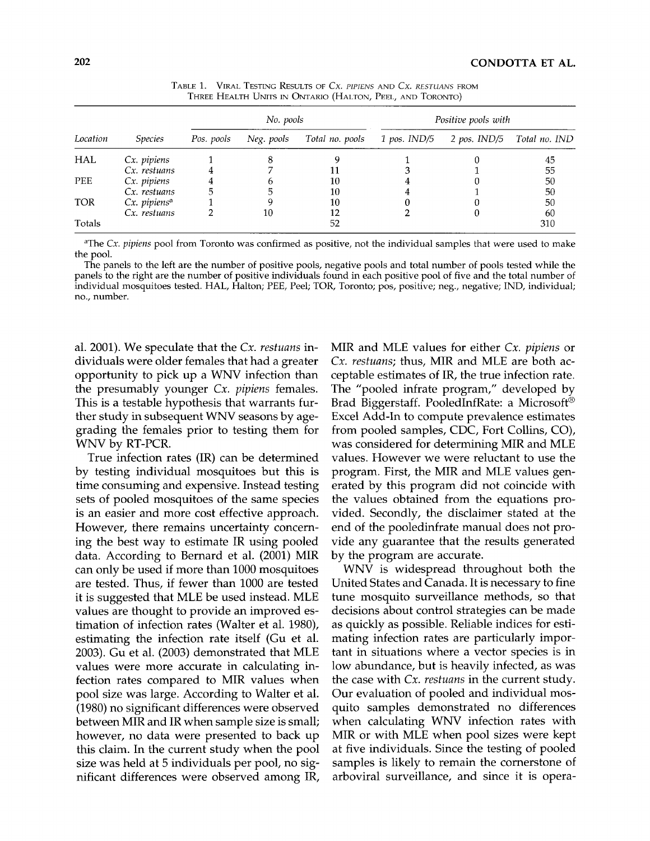| Location   | <i>Species</i>           | No. pools  |            |                 | Positive pools with |              |               |
|------------|--------------------------|------------|------------|-----------------|---------------------|--------------|---------------|
|            |                          | Pos. pools | Neg. pools | Total no. pools | $1$ pos. IND/5      | 2 pos. IND/5 | Total no. IND |
| HAL        | Cx. pipiens              |            |            |                 |                     |              | 45            |
|            | Cx. restuans             |            |            |                 |                     |              | 55            |
| <b>PEE</b> | Cx. pipiens              |            |            | 10              |                     |              | 50            |
|            | Cx. restuans             |            |            | 10              |                     |              | 50            |
| <b>TOR</b> | Cx. pipiens <sup>a</sup> |            |            | 10              |                     |              | 50            |
|            | Cx. restuans             |            | 10         | 12              |                     |              | 60            |
| Totals     |                          |            |            | 52              |                     |              | 310           |

TABLE 1. VIRAL TESTING RESULTS OF Cx. PIPIENS AND Cx. RESTUANS FROM THREE HEALTH UNITS IN ONTARIO (HALTON, PEEL, AND TORONTO)

<sup>a</sup>The Cx. pipiens pool from Toronto was confirmed as positive, not the individual samples that were used to make The panels to the left are the number of positive pools, negative pools and total number of pools tested while the

panels to the left are the number of positive pools, negative pools and total number of pools tested while the<br>condition of positive individuals found in each positive pool of five and the total number of panels to the right are the number of positive individuals found in each positive pool of five and the total number of individual mosquitoes tested. HAL, Halton; PEE, Peel; TOR, Toronto; pos, positive; neg., negative; IND, individual;<br>no., number.

al. 2001). We speculate that the Cx. restuans individuals were older females that had <sup>a</sup> greater dividuals were older temales that had a greater<br>opportunity to pick up a WNV infection than opportunity to pick up a WNV infection than the presumably younger  $Cx$ , *pipiens* females. This is a testable hypothesis that warrants fur-This is a testable hypothesis that warrants fur-<br>ther study in subsequent WNV seasons by agether study in subsequent WNV seasons by agegrading the females prior to testing them for WNV by RT-PCR.

True infection rates (IR) can be determined  $\frac{1}{100}$  the meetion rates  $\frac{1}{100}$  can be determined by testing individual mosquitoes but this is time consuming and expensive. Instead testing sets of pooled mosquitoes of the same species is an easier and more cost effective approach. However, there remains uncertainty concerning the best way to estimate IR using pooled data. According to a cordinate in using pooled data. According to Bernard et al. (2001) MIR can only be used if more than 1000 mosquitoes are tested. Thus, if fewer than 1000 are tested are tested. Thus, if fewer than TOOO are tested.<br>it is suggested that MLE be used instead. MLE values are thought to provide an improved estimation of infection rates (Walter et al. 1980), timation of infection rates (Walter et al. 1980), estimating the infection rate itself (Gu et al. 2003). Gu et al. (2003) demonstrated that MLE values were more accurate in calculating invalues were more accurate in calculating infection rates compared to MIR values when<br>pool size was large. According to Walter et al. (1980) no significant differences were observed (1980) no significant differences were observed<br>between MIR and IR when sample size is small; between win and in witch sample size is sinan, nowever, no data were presented to back up this claim. In the current study when the pool size was held at 5 individuals per pool, no significant differences were observed among IR,

MIR and MLE values for either Cx. pipiens or WIIK and MLE values for either  $Cx$ , *pipiens* or<br>*Cx\_restuans*; thus, MIP and MLE are both as-Cx. restuans; thus, MIR and MLE are both acceptable estimates of IR, the true infection rate. The "pooled infrate program," developed by Brad Biggerstaff. PooledInfRate: a Microsoft(R) Excel Add-In to compute prevalence estimates Excel Add-In to compute prevalence estimates from pooled samples, CDC, Fort Collins, CO), was considered for determining MIR and MLE was considered for determining ivinx and ivide<br>values. However we were reluctant to use the values. However we were reluctant to use the<br>program. First, the MIR and MLE values genprogram. First, the MIR and MLE values generated by this program did not coincide with the values obtained from the equations provideo boundarion die equations pro vided. Secondly, the disclaimer stated at the end of the pooledinfrate manual does not provide any guarantee that the results generated vide ally gualantee that the<br>by the program are accurate. the program are accurate.<br>WNW is widespread throughout both the

WNV is widespread throughout both the United States and Canada. It is necessary to fine tune mosquito surveillance methods, so that decisions about control strategies can be made as quickly as possible. Reliable indices for estimating infection rates are particularly important in situations where a vector species is in low abundance, but is heavily infected, as was the case with Cx. restuans in the current study. Our evaluation of pooled and individual mosquito samples demonstrated no differences quito samples demonstrated no differences<br>when calculating WNW infection rates with when calculating WNV infection rates with MIR or with MLE when pool sizes were kept at five individuals. Since the testing of pooled samples is likely to remain the cornerstone of arboviral surveillance, and since it is opera